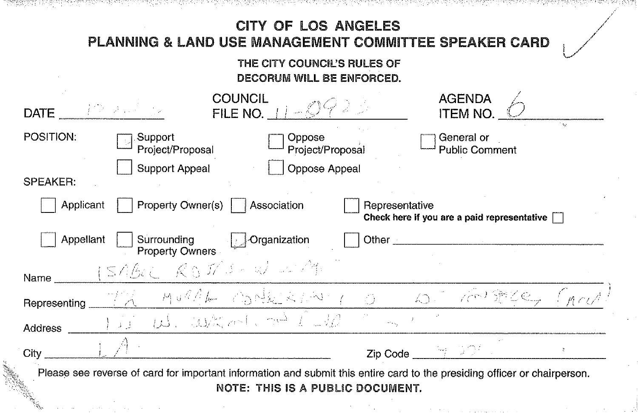| PLANNING & LAND USE MANAGEMENT COMMITTEE SPEAKER CARD                                                                | <b>CITY OF LOS ANGELES</b><br>THE CITY COUNCIL'S RULES OF<br><b>DECORUM WILL BE ENFORCED.</b> |                                                    |  |
|----------------------------------------------------------------------------------------------------------------------|-----------------------------------------------------------------------------------------------|----------------------------------------------------|--|
| <b>COUNCIL</b><br>FILE NO. $11 - 0422$<br>DATE $\frac{1}{2}$ and $\frac{1}{2}$                                       |                                                                                               | <b>AGENDA</b><br><b>ITEM NO.</b>                   |  |
| POSITION:<br>Support<br>Oppose<br>Project/Proposal<br>Support Appeal<br><b>SPEAKER:</b>                              | Project/Proposal<br>Oppose Appeal                                                             | General or<br><b>Public Comment</b>                |  |
| Property Owner(s)     Association<br>Applicant<br>Appellant<br>Surrounding<br><b>Organization</b><br>Property Owners | Representative<br>Other                                                                       | Check here if you are a paid representative $\Box$ |  |
|                                                                                                                      |                                                                                               |                                                    |  |
| ISABLE ROSTS-WEIT<br>Name                                                                                            |                                                                                               |                                                    |  |
| Representing TR MURPLE OBORRESTING OF A THEY PERSON (MOUR<br>I is us. when no law<br>Address                         |                                                                                               |                                                    |  |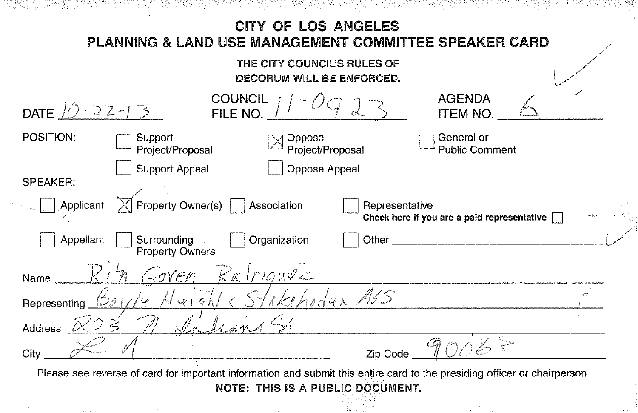## \*\*\*\*\*\*\*\*\*\*\*\*\*\*\*\* TA 등 1976년 1977년 1977년 전부 지역 10월 19일 10월 10일 CITY OF LOS ANGELES PLANNING & LAND USE MANAGEMENT COMMITTEE SPEAKER CARD THE CITY COUNCIL'S RULES OF DECORUM WILL BE ENFORCED. COUNCIL<br>FILE NO. **AGENDA** DATE  $(0.22 - 1.5)$ ITEM NO. POSITION: **Support Oppose** General or Project/Proposal Project/Proposal Public Comment Support Appeal 0 Oppose Appeal SPEAKER: .<br>مي<sub>م</sub> Applicant  $\mathbb{R}$  Property Owner(s)  $\Box$  Association  $\Box$  Representative Check here if you are a paid representative  $\Box$ Appellant Surrounding Organization Other **Property Owners**  $R$ alriguez  $\neg \partial Y E A$ Name skehodan ASS Representing <u>150 L</u> Address  $\alpha$  $\overline{z}$ ip Code  $\overline{\mathscr{A} \mathcal{O} \mathscr{C}}$ City Please see reverse of card for important information and submit this entire card to the presiding officer or chairperson. NOTE: THIS IS A PUBLIC DOCUMENT.

···:~:~-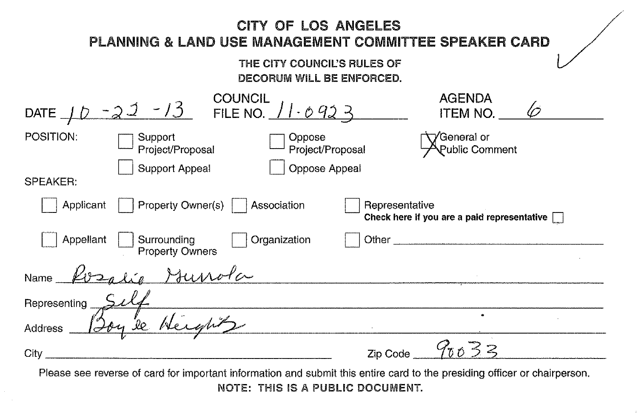| PLANNING & LAND USE MANAGEMENT COMMITTEE SPEAKER CARD                                                                     | CITY OF LOS ANGELES<br>THE CITY COUNCIL'S RULES OF<br>DECORUM WILL BE ENFORCED. |                |                                                    |  |
|---------------------------------------------------------------------------------------------------------------------------|---------------------------------------------------------------------------------|----------------|----------------------------------------------------|--|
| DATE $10 - 23 - 13$ COUNCIL $11.0923$                                                                                     |                                                                                 |                | <b>AGENDA</b><br>ITEM NO.                          |  |
| POSITION:<br>Support<br>Project/Proposal                                                                                  | Oppose<br>Project/Proposal                                                      |                | 'General or<br>Public Comment                      |  |
| Support Appeal<br><b>SPEAKER:</b>                                                                                         | Oppose Appeal                                                                   |                |                                                    |  |
| Property Owner(s)<br>Applicant                                                                                            | Association                                                                     | Representative | Check here if you are a paid representative $\Box$ |  |
| Appellant<br>Surrounding<br><b>Property Owners</b>                                                                        | Organization                                                                    | Other          |                                                    |  |
| Hunola<br>Name                                                                                                            |                                                                                 |                |                                                    |  |
| Representing                                                                                                              |                                                                                 |                |                                                    |  |
| e Height<br>Address                                                                                                       |                                                                                 |                |                                                    |  |
| City                                                                                                                      |                                                                                 | Zip Code       | 90032                                              |  |
| Please see reverse of card for important information and submit this entire card to the presiding officer or chairperson. |                                                                                 |                |                                                    |  |

╱

NOTE: THIS IS A PUBLIC DOCUMENT.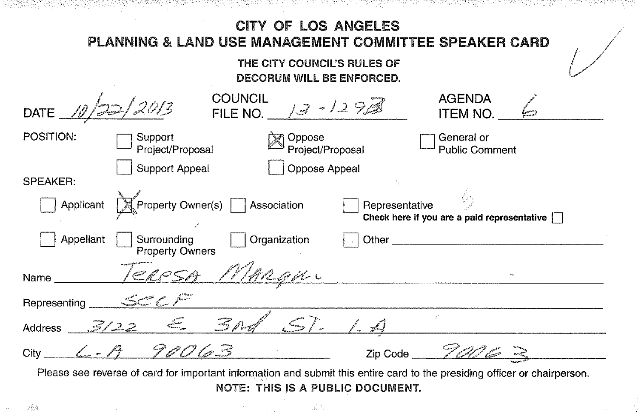| 30일로부 (10% 41%)에 있습니다. 이 아이에 있어서 10% 입니 10% 나이 20% 이 20% 나이 10% 나이 10% 이 20% 가지 않아서 10% 이 10% 이 10% 가지 않아 10%<br><b>CITY OF LOS ANGELES</b><br>PLANNING & LAND USE MANAGEMENT COMMITTEE SPEAKER CARD<br>THE CITY COUNCIL'S RULES OF<br>DECORUM WILL BE ENFORCED. |                                                    |
|------------------------------------------------------------------------------------------------------------------------------------------------------------------------------------------------------------------------------------------------------------------|----------------------------------------------------|
| <b>COUNCIL</b><br>FILE NO. $\sqrt{3}$ - 12 9<br>DATE $\angle \theta$ /2                                                                                                                                                                                          | <b>AGENDA</b><br><b>ITEM NO.</b>                   |
| POSITION:<br>Support<br>Oppose<br>Project/Proposal<br>Project/Proposal                                                                                                                                                                                           | General or<br><b>Public Comment</b>                |
| Support Appeal<br>Oppose Appeal<br><b>SPEAKER:</b><br>Applicant ■ Property Owner(s) ■ Association<br>Representative                                                                                                                                              | Check here if you are a paid representative $\Box$ |
| Surrounding<br>Organization<br>Appellant<br>Other<br><b>Property Owners</b>                                                                                                                                                                                      |                                                    |
| TERESA MARQUE<br>Name                                                                                                                                                                                                                                            |                                                    |
| Address 3/22 E 3nd ST. 1.4                                                                                                                                                                                                                                       |                                                    |
| $City$ 6. $A$ 70063                                                                                                                                                                                                                                              | Zip Code $Z\mathscr{A}\mathscr{B} \cong$           |
| Please see reverse of card for important information and submit this entire card to the presiding officer or chairperson.<br>NOTE: THIS IS A PUBLIC DOCUMENT.<br>al Pau<br>- bár                                                                                 |                                                    |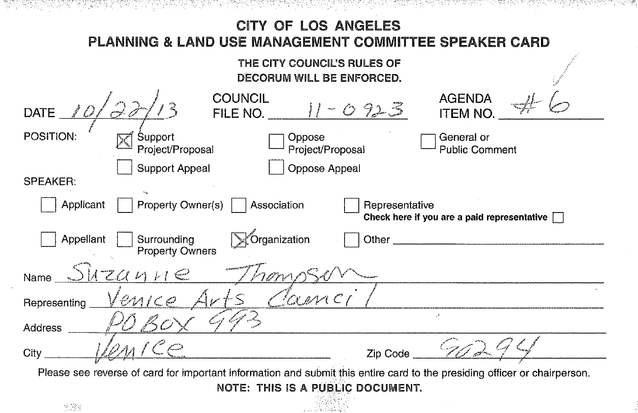## 개강 개, 김동인 개선을 가장 가져 있던 사이에 있어 좋아 안 사이에 없어 가입니까 CITY OF LOS ANGELES PLANNING & LAND USE MANAGEMENT COMMITTEE SPEAKER CARD THE CITY COUNCIL'S RULES OF DECORUM WILL BE ENFORCED. **COUNCIL AGENDA**  $11 - 0.925$ DATE  $\ell$ FILE NO. **ITEM NO** POSITION: Support Oppose General or Project/Proposal Project/Proposal **Public Comment** Support Appeal Oppose Appeal SPFAKER: Applicant Property Owner(s) Association Representative Check here if you are a paid representative [7] Organization Appellant Surroundina Other **Property Owners** Shzanne Name Cance enico Representing **Address** City Zip Code Please see reverse of card for important information and submit this entire card to the presiding officer or chairperson. NOTE: THIS IS A PUBLIC DOCUMENT.

网络魔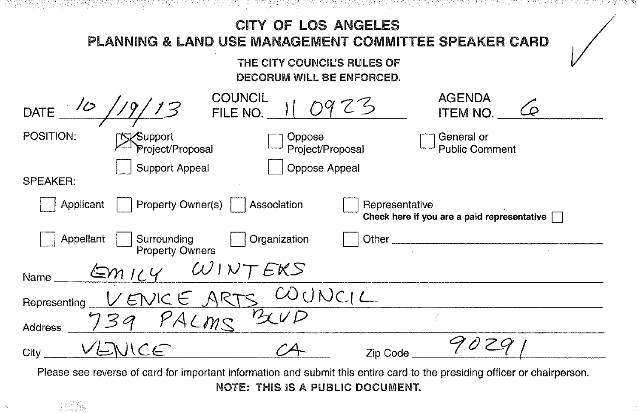| 경우 아이가 그는 어떻게 한 번 가지 않았다.<br>입에 가면 사람이 어려워서 거야? 어려워서 보이는 것이 없어요. 동생은 아직 부분에 이 사람이 어려워서 보이는 사람이 잘 좋아했다.                                                               |  |
|----------------------------------------------------------------------------------------------------------------------------------------------------------------------|--|
| <b>CITY OF LOS ANGELES</b>                                                                                                                                           |  |
| PLANNING & LAND USE MANAGEMENT COMMITTEE SPEAKER CARD                                                                                                                |  |
| THE CITY COUNCIL'S RULES OF                                                                                                                                          |  |
| <b>DECORUM WILL BE ENFORCED.</b>                                                                                                                                     |  |
| <b>COUNCIL</b><br><b>AGENDA</b><br>Co<br>DATE<br>FILE NO.<br><b>ITEM NO.</b>                                                                                         |  |
| POSITION:<br>General or<br>Oppose<br>Support<br>Project/Proposal<br>Project/Proposal<br><b>Public Comment</b>                                                        |  |
| Support Appeal<br>Oppose Appeal<br><b>SPEAKER:</b>                                                                                                                   |  |
| Property Owner(s)<br>Applicant<br>Association<br>Representative<br>Check here if you are a paid representative                                                       |  |
| Organization<br>Appellant<br>Surrounding<br><b>Property Owners</b>                                                                                                   |  |
| $Em$ 16 $Y$<br>Name                                                                                                                                                  |  |
| CODOC1<br>/ENICE ARTS<br>Representing                                                                                                                                |  |
| $\overline{\nu_{\mathcal{K}}}\nu$<br>PACMS<br>Address                                                                                                                |  |
| NICE<br>City<br>Zip Code                                                                                                                                             |  |
| Please see reverse of card for important information and submit this entire card to the presiding officer or chairperson.<br><b>NOTE: THIS IS A PUBLIC DOCUMENT.</b> |  |

 $\beta_{\rm{p}}$